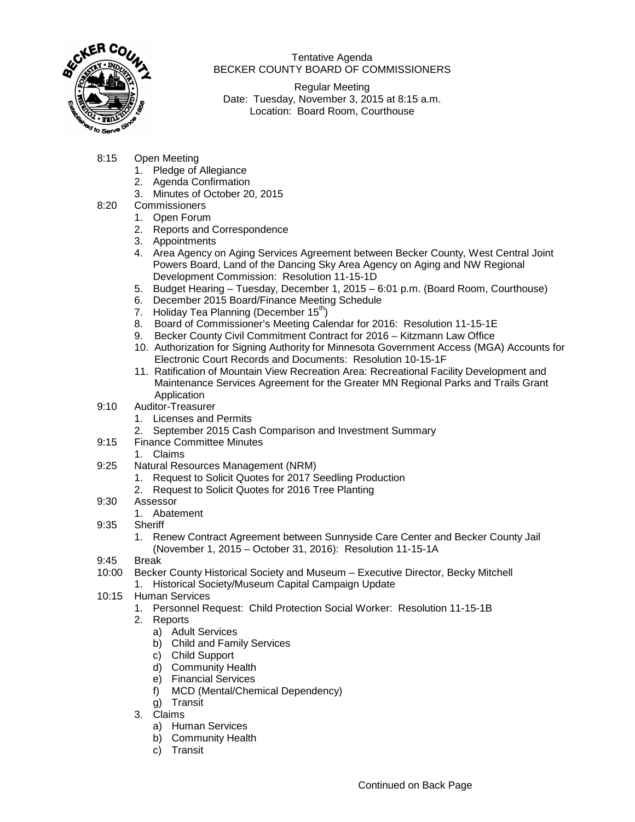

Tentative Agenda BECKER COUNTY BOARD OF COMMISSIONERS

Regular Meeting Date: Tuesday, November 3, 2015 at 8:15 a.m. Location: Board Room, Courthouse

- 8:15 Open Meeting
	- 1. Pledge of Allegiance
	- 2. Agenda Confirmation
	- 3. Minutes of October 20, 2015
- 8:20 Commissioners
	- 1. Open Forum
	- 2. Reports and Correspondence
	- 3. Appointments
	- 4. Area Agency on Aging Services Agreement between Becker County, West Central Joint Powers Board, Land of the Dancing Sky Area Agency on Aging and NW Regional Development Commission: Resolution 11-15-1D
	- 5. Budget Hearing Tuesday, December 1, 2015 6:01 p.m. (Board Room, Courthouse)
	- 6. December 2015 Board/Finance Meeting Schedule
	- 7. Holiday Tea Planning (December  $15<sup>th</sup>$ )
	- 8. Board of Commissioner's Meeting Calendar for 2016: Resolution 11-15-1E
	- 9. Becker County Civil Commitment Contract for 2016 Kitzmann Law Office
	- 10. Authorization for Signing Authority for Minnesota Government Access (MGA) Accounts for Electronic Court Records and Documents: Resolution 10-15-1F
	- 11. Ratification of Mountain View Recreation Area: Recreational Facility Development and Maintenance Services Agreement for the Greater MN Regional Parks and Trails Grant Application
- 9:10 Auditor-Treasurer
	- 1. Licenses and Permits
	- 2. September 2015 Cash Comparison and Investment Summary
- 9:15 Finance Committee Minutes
	- 1. Claims
- 9:25 Natural Resources Management (NRM)
	- 1. Request to Solicit Quotes for 2017 Seedling Production
	- 2. Request to Solicit Quotes for 2016 Tree Planting
- 9:30 Assessor
	- 1. Abatement
- 9:35 Sheriff
	- 1. Renew Contract Agreement between Sunnyside Care Center and Becker County Jail (November 1, 2015 – October 31, 2016): Resolution 11-15-1A
- 9:45 Break
- 10:00 Becker County Historical Society and Museum Executive Director, Becky Mitchell 1. Historical Society/Museum Capital Campaign Update
- 10:15 Human Services
	- 1. Personnel Request: Child Protection Social Worker: Resolution 11-15-1B
	- 2. Reports
		- a) Adult Services
		- b) Child and Family Services
		- c) Child Support
		- d) Community Health
		- e) Financial Services
		- f) MCD (Mental/Chemical Dependency)
		- g) Transit
	- 3. Claims
		- a) Human Services
		- b) Community Health
		- c) Transit